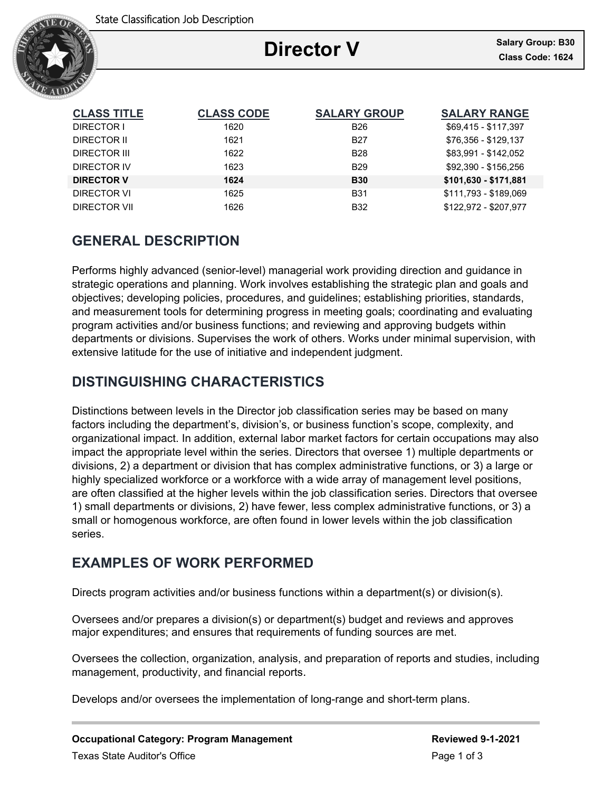

# **Director V**

Ξ

| <b>CLASS TITLE</b> | <b>CLASS CODE</b> | <b>SALARY GROUP</b> | <b>SALARY RANGE</b>   |
|--------------------|-------------------|---------------------|-----------------------|
| DIRECTOR I         | 1620              | <b>B26</b>          | \$69,415 - \$117,397  |
| DIRECTOR II        | 1621              | <b>B27</b>          | \$76,356 - \$129,137  |
| DIRECTOR III       | 1622              | <b>B28</b>          | \$83,991 - \$142,052  |
| DIRECTOR IV        | 1623              | <b>B29</b>          | \$92,390 - \$156,256  |
| <b>DIRECTOR V</b>  | 1624              | <b>B30</b>          | \$101,630 - \$171,881 |
| DIRECTOR VI        | 1625              | <b>B31</b>          | \$111,793 - \$189,069 |
| DIRECTOR VII       | 1626              | <b>B32</b>          | \$122,972 - \$207,977 |

# **GENERAL DESCRIPTION**

Performs highly advanced (senior-level) managerial work providing direction and guidance in strategic operations and planning. Work involves establishing the strategic plan and goals and objectives; developing policies, procedures, and guidelines; establishing priorities, standards, and measurement tools for determining progress in meeting goals; coordinating and evaluating program activities and/or business functions; and reviewing and approving budgets within departments or divisions. Supervises the work of others. Works under minimal supervision, with extensive latitude for the use of initiative and independent judgment.

# **DISTINGUISHING CHARACTERISTICS**

Distinctions between levels in the Director job classification series may be based on many factors including the department's, division's, or business function's scope, complexity, and organizational impact. In addition, external labor market factors for certain occupations may also impact the appropriate level within the series. Directors that oversee 1) multiple departments or divisions, 2) a department or division that has complex administrative functions, or 3) a large or highly specialized workforce or a workforce with a wide array of management level positions, are often classified at the higher levels within the job classification series. Directors that oversee 1) small departments or divisions, 2) have fewer, less complex administrative functions, or 3) a small or homogenous workforce, are often found in lower levels within the job classification series.

# **EXAMPLES OF WORK PERFORMED**

Directs program activities and/or business functions within a department(s) or division(s).

Oversees and/or prepares a division(s) or department(s) budget and reviews and approves major expenditures; and ensures that requirements of funding sources are met.

Oversees the collection, organization, analysis, and preparation of reports and studies, including management, productivity, and financial reports.

Develops and/or oversees the implementation of long-range and short-term plans.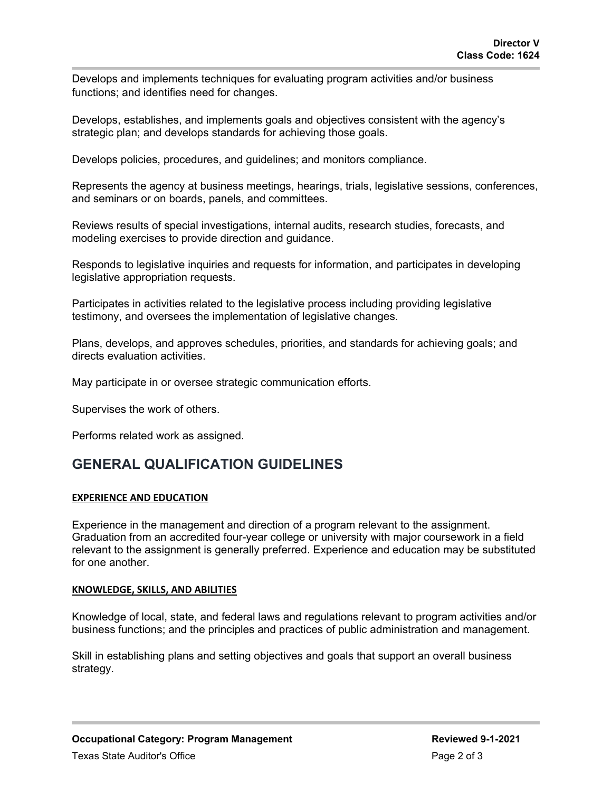Develops and implements techniques for evaluating program activities and/or business functions; and identifies need for changes.

Develops, establishes, and implements goals and objectives consistent with the agency's strategic plan; and develops standards for achieving those goals.

Develops policies, procedures, and guidelines; and monitors compliance.

Represents the agency at business meetings, hearings, trials, legislative sessions, conferences, and seminars or on boards, panels, and committees.

Reviews results of special investigations, internal audits, research studies, forecasts, and modeling exercises to provide direction and guidance.

Responds to legislative inquiries and requests for information, and participates in developing legislative appropriation requests.

Participates in activities related to the legislative process including providing legislative testimony, and oversees the implementation of legislative changes.

Plans, develops, and approves schedules, priorities, and standards for achieving goals; and directs evaluation activities.

May participate in or oversee strategic communication efforts.

Supervises the work of others.

Performs related work as assigned.

## **GENERAL QUALIFICATION GUIDELINES**

### **EXPERIENCE AND EDUCATION**

Experience in the management and direction of a program relevant to the assignment. Graduation from an accredited four-year college or university with major coursework in a field relevant to the assignment is generally preferred. Experience and education may be substituted for one another.

### **KNOWLEDGE, SKILLS, AND ABILITIES**

Knowledge of local, state, and federal laws and regulations relevant to program activities and/or business functions; and the principles and practices of public administration and management.

Skill in establishing plans and setting objectives and goals that support an overall business strategy.